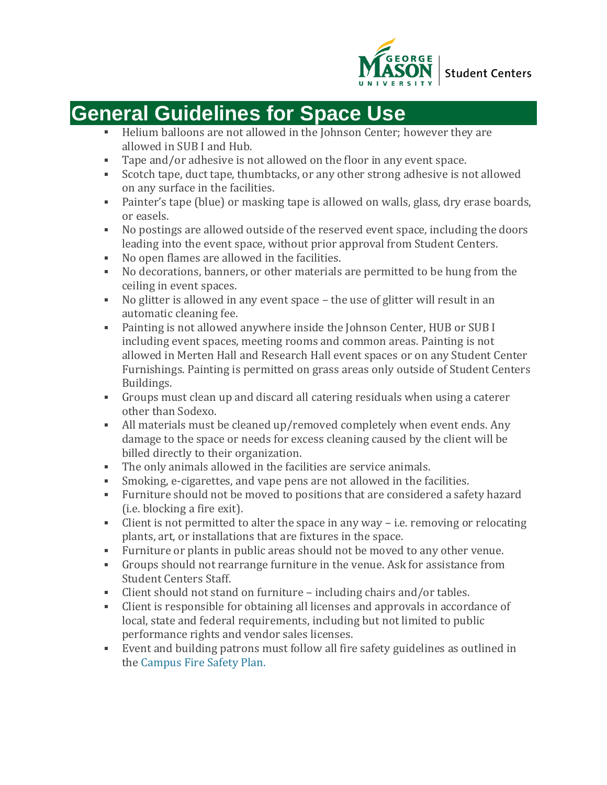

## **General Guidelines for Space Use**

- Helium balloons are not allowed in the Johnson Center; however they are  $\mathbf{r}$  . allowed in SUB I and Hub.
- Tape and/or adhesive is not allowed on the floor in any event space.
- Scotch tape, duct tape, thumbtacks, or any other strong adhesive is not allowed on any surface in the facilities.
- Painter's tape (blue) or masking tape is allowed on walls, glass, dry erase boards, or easels.
- No postings are allowed outside of the reserved event space, including the doors leading into the event space, without prior approval from Student Centers.
- No open flames are allowed in the facilities.
- No decorations, banners, or other materials are permitted to be hung from the ceiling in event spaces.
- No glitter is allowed in any event space the use of glitter will result in an automatic cleaning fee.
- Painting is not allowed anywhere inside the Johnson Center, HUB or SUB I including event spaces, meeting rooms and common areas. Painting is not allowed in Merten Hall and Research Hall event spaces or on any Student Center Furnishings. Painting is permitted on grass areas only outside of Student Centers Buildings.
- Groups must clean up and discard all catering residuals when using a caterer other than Sodexo.
- All materials must be cleaned up/removed completely when event ends. Any damage to the space or needs for excess cleaning caused by the client will be billed directly to their organization.
- The only animals allowed in the facilities are service animals.
- Smoking, e-cigarettes, and vape pens are not allowed in the facilities.
- Furniture should not be moved to positions that are considered a safety hazard (i.e. blocking a fire exit).
- Client is not permitted to alter the space in any way i.e. removing or relocating plants, art, or installations that are fixtures in the space.
- Furniture or plants in public areas should not be moved to any other venue.
- Groups should not rearrange furniture in the venue. Ask for assistance from Student Centers Staff.
- Client should not stand on furniture including chairs and/or tables.
- Client is responsible for obtaining all licenses and approvals in accordance of local, state and federal requirements, including but not limited to public performance rights and vendor sales licenses.
- Event and building patrons must follow all fire safety guidelines as outlined in the [Campus](https://ehs.gmu.edu/wp-content/uploads/2015/03/Fire-Safety-Plan.pdf) Fire Safety Plan.